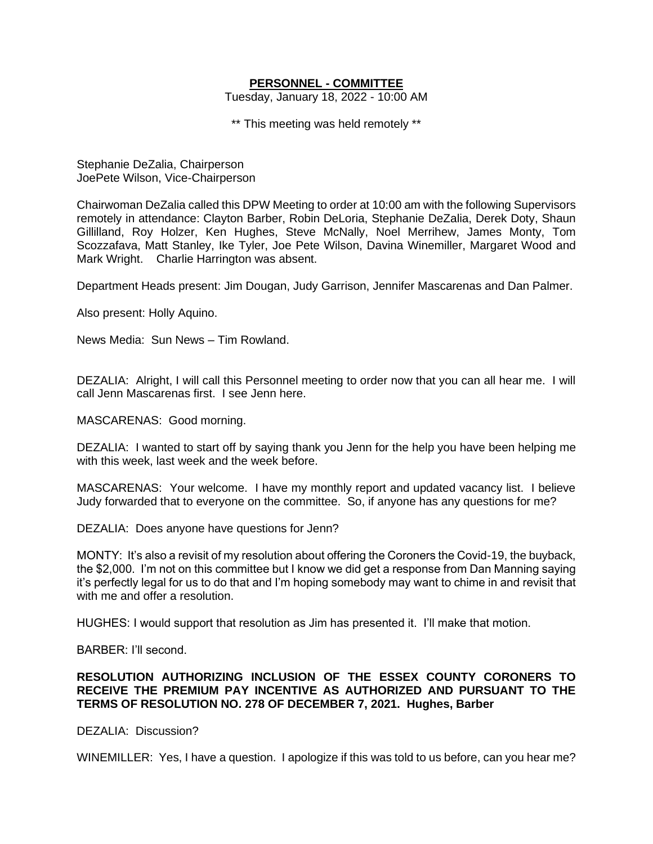## **PERSONNEL - COMMITTEE**

Tuesday, January 18, 2022 - 10:00 AM

\*\* This meeting was held remotely \*\*

Stephanie DeZalia, Chairperson JoePete Wilson, Vice-Chairperson

Chairwoman DeZalia called this DPW Meeting to order at 10:00 am with the following Supervisors remotely in attendance: Clayton Barber, Robin DeLoria, Stephanie DeZalia, Derek Doty, Shaun Gillilland, Roy Holzer, Ken Hughes, Steve McNally, Noel Merrihew, James Monty, Tom Scozzafava, Matt Stanley, Ike Tyler, Joe Pete Wilson, Davina Winemiller, Margaret Wood and Mark Wright. Charlie Harrington was absent.

Department Heads present: Jim Dougan, Judy Garrison, Jennifer Mascarenas and Dan Palmer.

Also present: Holly Aquino.

News Media: Sun News – Tim Rowland.

DEZALIA: Alright, I will call this Personnel meeting to order now that you can all hear me. I will call Jenn Mascarenas first. I see Jenn here.

MASCARENAS: Good morning.

DEZALIA: I wanted to start off by saying thank you Jenn for the help you have been helping me with this week, last week and the week before.

MASCARENAS: Your welcome. I have my monthly report and updated vacancy list. I believe Judy forwarded that to everyone on the committee. So, if anyone has any questions for me?

DEZALIA: Does anyone have questions for Jenn?

MONTY: It's also a revisit of my resolution about offering the Coroners the Covid-19, the buyback, the \$2,000. I'm not on this committee but I know we did get a response from Dan Manning saying it's perfectly legal for us to do that and I'm hoping somebody may want to chime in and revisit that with me and offer a resolution.

HUGHES: I would support that resolution as Jim has presented it. I'll make that motion.

BARBER: I'll second.

## **RESOLUTION AUTHORIZING INCLUSION OF THE ESSEX COUNTY CORONERS TO RECEIVE THE PREMIUM PAY INCENTIVE AS AUTHORIZED AND PURSUANT TO THE TERMS OF RESOLUTION NO. 278 OF DECEMBER 7, 2021. Hughes, Barber**

DEZALIA: Discussion?

WINEMILLER: Yes, I have a question. I apologize if this was told to us before, can you hear me?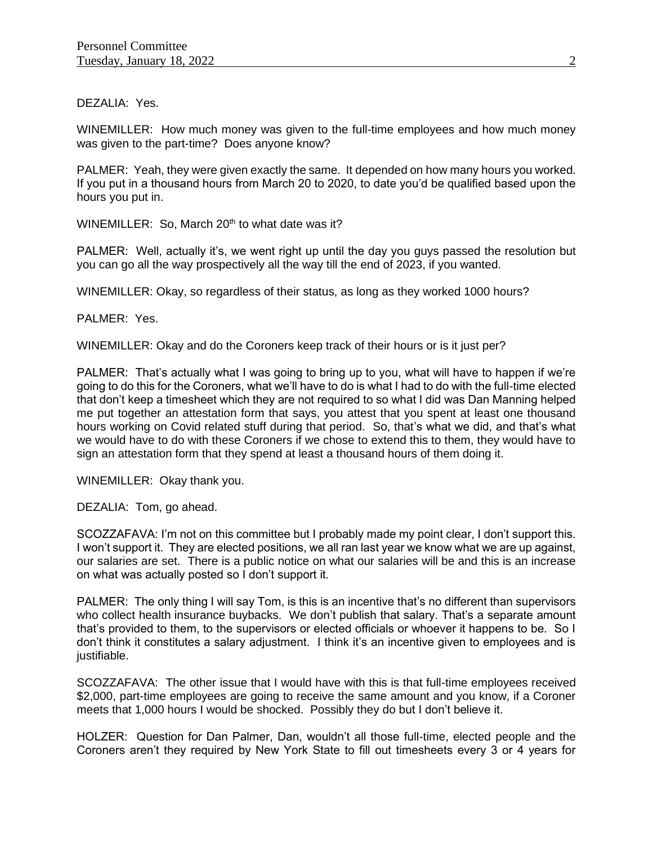DEZALIA: Yes.

WINEMILLER: How much money was given to the full-time employees and how much money was given to the part-time? Does anyone know?

PALMER: Yeah, they were given exactly the same. It depended on how many hours you worked. If you put in a thousand hours from March 20 to 2020, to date you'd be qualified based upon the hours you put in.

WINEMILLER: So, March 20<sup>th</sup> to what date was it?

PALMER: Well, actually it's, we went right up until the day you guys passed the resolution but you can go all the way prospectively all the way till the end of 2023, if you wanted.

WINEMILLER: Okay, so regardless of their status, as long as they worked 1000 hours?

PALMER: Yes.

WINEMILLER: Okay and do the Coroners keep track of their hours or is it just per?

PALMER: That's actually what I was going to bring up to you, what will have to happen if we're going to do this for the Coroners, what we'll have to do is what I had to do with the full-time elected that don't keep a timesheet which they are not required to so what I did was Dan Manning helped me put together an attestation form that says, you attest that you spent at least one thousand hours working on Covid related stuff during that period. So, that's what we did, and that's what we would have to do with these Coroners if we chose to extend this to them, they would have to sign an attestation form that they spend at least a thousand hours of them doing it.

WINEMILLER: Okay thank you.

DEZALIA: Tom, go ahead.

SCOZZAFAVA: I'm not on this committee but I probably made my point clear, I don't support this. I won't support it. They are elected positions, we all ran last year we know what we are up against, our salaries are set. There is a public notice on what our salaries will be and this is an increase on what was actually posted so I don't support it.

PALMER: The only thing I will say Tom, is this is an incentive that's no different than supervisors who collect health insurance buybacks. We don't publish that salary. That's a separate amount that's provided to them, to the supervisors or elected officials or whoever it happens to be. So I don't think it constitutes a salary adjustment. I think it's an incentive given to employees and is justifiable.

SCOZZAFAVA: The other issue that I would have with this is that full-time employees received \$2,000, part-time employees are going to receive the same amount and you know, if a Coroner meets that 1,000 hours I would be shocked. Possibly they do but I don't believe it.

HOLZER: Question for Dan Palmer, Dan, wouldn't all those full-time, elected people and the Coroners aren't they required by New York State to fill out timesheets every 3 or 4 years for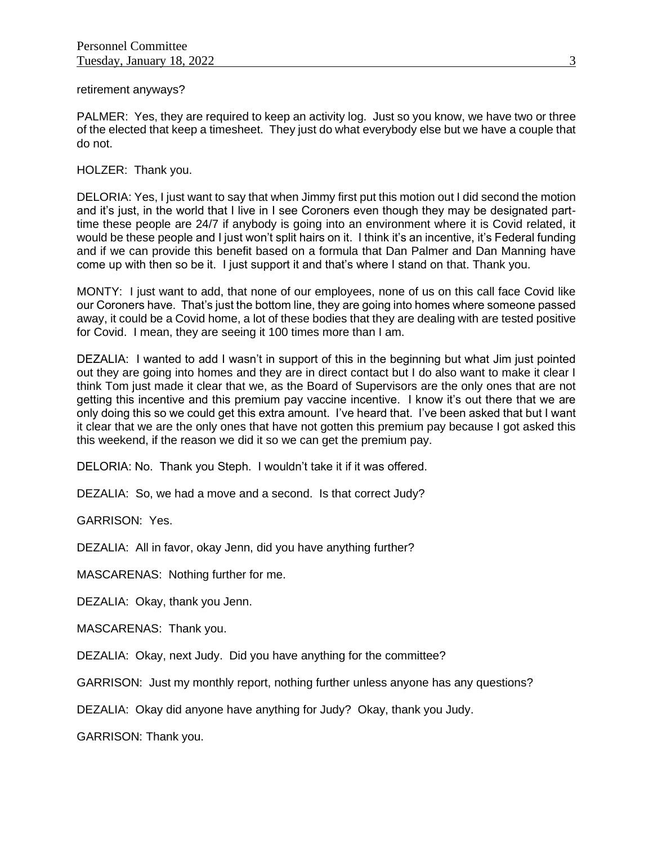retirement anyways?

PALMER: Yes, they are required to keep an activity log. Just so you know, we have two or three of the elected that keep a timesheet. They just do what everybody else but we have a couple that do not.

HOLZER: Thank you.

DELORIA: Yes, I just want to say that when Jimmy first put this motion out I did second the motion and it's just, in the world that I live in I see Coroners even though they may be designated parttime these people are 24/7 if anybody is going into an environment where it is Covid related, it would be these people and I just won't split hairs on it. I think it's an incentive, it's Federal funding and if we can provide this benefit based on a formula that Dan Palmer and Dan Manning have come up with then so be it. I just support it and that's where I stand on that. Thank you.

MONTY: I just want to add, that none of our employees, none of us on this call face Covid like our Coroners have. That's just the bottom line, they are going into homes where someone passed away, it could be a Covid home, a lot of these bodies that they are dealing with are tested positive for Covid. I mean, they are seeing it 100 times more than I am.

DEZALIA: I wanted to add I wasn't in support of this in the beginning but what Jim just pointed out they are going into homes and they are in direct contact but I do also want to make it clear I think Tom just made it clear that we, as the Board of Supervisors are the only ones that are not getting this incentive and this premium pay vaccine incentive. I know it's out there that we are only doing this so we could get this extra amount. I've heard that. I've been asked that but I want it clear that we are the only ones that have not gotten this premium pay because I got asked this this weekend, if the reason we did it so we can get the premium pay.

DELORIA: No. Thank you Steph. I wouldn't take it if it was offered.

DEZALIA: So, we had a move and a second. Is that correct Judy?

GARRISON: Yes.

DEZALIA: All in favor, okay Jenn, did you have anything further?

MASCARENAS: Nothing further for me.

DEZALIA: Okay, thank you Jenn.

MASCARENAS: Thank you.

DEZALIA: Okay, next Judy. Did you have anything for the committee?

GARRISON: Just my monthly report, nothing further unless anyone has any questions?

DEZALIA: Okay did anyone have anything for Judy? Okay, thank you Judy.

GARRISON: Thank you.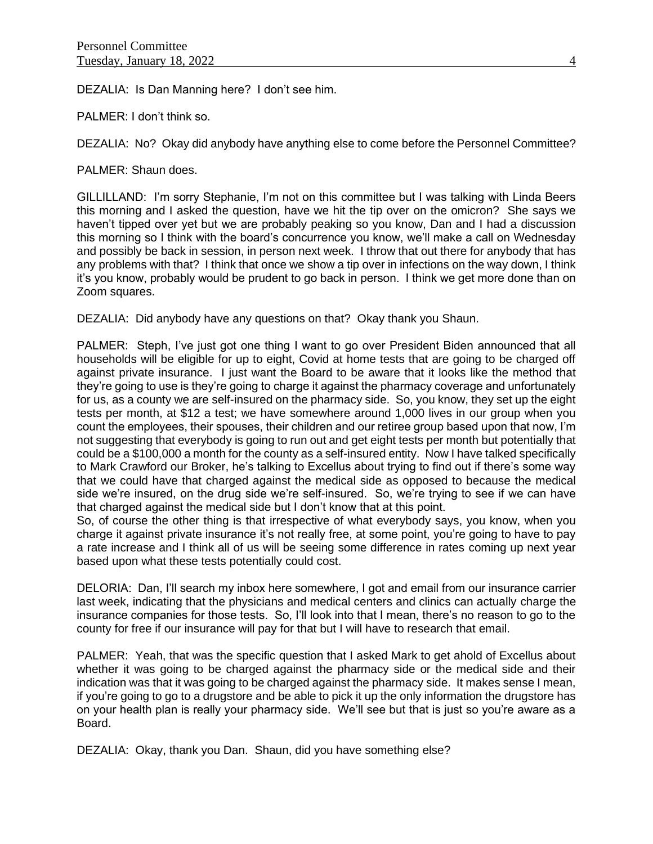DEZALIA: Is Dan Manning here? I don't see him.

PALMER: I don't think so.

DEZALIA: No? Okay did anybody have anything else to come before the Personnel Committee?

PALMER: Shaun does.

GILLILLAND: I'm sorry Stephanie, I'm not on this committee but I was talking with Linda Beers this morning and I asked the question, have we hit the tip over on the omicron? She says we haven't tipped over yet but we are probably peaking so you know, Dan and I had a discussion this morning so I think with the board's concurrence you know, we'll make a call on Wednesday and possibly be back in session, in person next week. I throw that out there for anybody that has any problems with that? I think that once we show a tip over in infections on the way down, I think it's you know, probably would be prudent to go back in person. I think we get more done than on Zoom squares.

DEZALIA: Did anybody have any questions on that? Okay thank you Shaun.

PALMER: Steph, I've just got one thing I want to go over President Biden announced that all households will be eligible for up to eight, Covid at home tests that are going to be charged off against private insurance. I just want the Board to be aware that it looks like the method that they're going to use is they're going to charge it against the pharmacy coverage and unfortunately for us, as a county we are self-insured on the pharmacy side. So, you know, they set up the eight tests per month, at \$12 a test; we have somewhere around 1,000 lives in our group when you count the employees, their spouses, their children and our retiree group based upon that now, I'm not suggesting that everybody is going to run out and get eight tests per month but potentially that could be a \$100,000 a month for the county as a self-insured entity. Now I have talked specifically to Mark Crawford our Broker, he's talking to Excellus about trying to find out if there's some way that we could have that charged against the medical side as opposed to because the medical side we're insured, on the drug side we're self-insured. So, we're trying to see if we can have that charged against the medical side but I don't know that at this point.

So, of course the other thing is that irrespective of what everybody says, you know, when you charge it against private insurance it's not really free, at some point, you're going to have to pay a rate increase and I think all of us will be seeing some difference in rates coming up next year based upon what these tests potentially could cost.

DELORIA: Dan, I'll search my inbox here somewhere, I got and email from our insurance carrier last week, indicating that the physicians and medical centers and clinics can actually charge the insurance companies for those tests. So, I'll look into that I mean, there's no reason to go to the county for free if our insurance will pay for that but I will have to research that email.

PALMER: Yeah, that was the specific question that I asked Mark to get ahold of Excellus about whether it was going to be charged against the pharmacy side or the medical side and their indication was that it was going to be charged against the pharmacy side. It makes sense I mean, if you're going to go to a drugstore and be able to pick it up the only information the drugstore has on your health plan is really your pharmacy side. We'll see but that is just so you're aware as a Board.

DEZALIA: Okay, thank you Dan. Shaun, did you have something else?